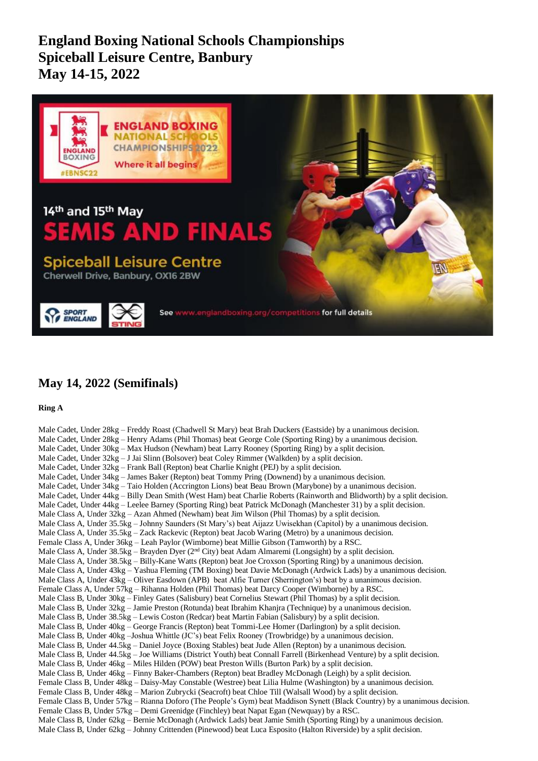**England Boxing National Schools Championships Spiceball Leisure Centre, Banbury May 14-15, 2022**



## **May 14, 2022 (Semifinals)**

**Ring A**

Male Cadet, Under 28kg – Freddy Roast (Chadwell St Mary) beat Brah Duckers (Eastside) by a unanimous decision. Male Cadet, Under 28kg – Henry Adams (Phil Thomas) beat George Cole (Sporting Ring) by a unanimous decision. Male Cadet, Under 30kg – Max Hudson (Newham) beat Larry Rooney (Sporting Ring) by a split decision. Male Cadet, Under 32kg – J Jai Slinn (Bolsover) beat Coley Rimmer (Walkden) by a split decision. Male Cadet, Under 32kg – Frank Ball (Repton) beat Charlie Knight (PEJ) by a split decision. Male Cadet, Under 34kg – James Baker (Repton) beat Tommy Pring (Downend) by a unanimous decision. Male Cadet, Under 34kg – Taio Holden (Accrington Lions) beat Beau Brown (Marybone) by a unanimous decision. Male Cadet, Under 44kg – Billy Dean Smith (West Ham) beat Charlie Roberts (Rainworth and Blidworth) by a split decision. Male Cadet, Under 44kg – Leelee Barney (Sporting Ring) beat Patrick McDonagh (Manchester 31) by a split decision. Male Class A, Under 32kg – Azan Ahmed (Newham) beat Jim Wilson (Phil Thomas) by a split decision. Male Class A, Under 35.5kg – Johnny Saunders (St Mary's) beat Aijazz Uwisekhan (Capitol) by a unanimous decision. Male Class A, Under 35.5kg – Zack Rackevic (Repton) beat Jacob Waring (Metro) by a unanimous decision. Female Class A, Under 36kg – Leah Paylor (Wimborne) beat Millie Gibson (Tamworth) by a RSC. Male Class A, Under  $38.5kg -$ Brayden Dyer ( $2<sup>nd</sup>$  City) beat Adam Almaremi (Longsight) by a split decision. Male Class A, Under 38.5kg – Billy-Kane Watts (Repton) beat Joe Croxson (Sporting Ring) by a unanimous decision. Male Class A, Under 43kg – Yashua Fleming (TM Boxing) beat Davie McDonagh (Ardwick Lads) by a unanimous decision. Male Class A, Under 43kg – Oliver Easdown (APB) beat Alfie Turner (Sherrington's) beat by a unanimous decision. Female Class A, Under 57kg – Rihanna Holden (Phil Thomas) beat Darcy Cooper (Wimborne) by a RSC. Male Class B, Under 30kg – Finley Gates (Salisbury) beat Cornelius Stewart (Phil Thomas) by a split decision. Male Class B, Under 32kg – Jamie Preston (Rotunda) beat Ibrahim Khanjra (Technique) by a unanimous decision. Male Class B, Under 38.5kg – Lewis Coston (Redcar) beat Martin Fabian (Salisbury) by a split decision. Male Class B, Under 40kg – George Francis (Repton) beat Tommi-Lee Homer (Darlington) by a split decision. Male Class B, Under 40kg –Joshua Whittle (JC's) beat Felix Rooney (Trowbridge) by a unanimous decision. Male Class B, Under 44.5kg – Daniel Joyce (Boxing Stables) beat Jude Allen (Repton) by a unanimous decision. Male Class B, Under 44.5kg – Joe Williams (District Youth) beat Connall Farrell (Birkenhead Venture) by a split decision. Male Class B, Under 46kg – Miles Hilden (POW) beat Preston Wills (Burton Park) by a split decision. Male Class B, Under 46kg – Finny Baker-Chambers (Repton) beat Bradley McDonagh (Leigh) by a split decision. Female Class B, Under 48kg – Daisy-May Constable (Westree) beat Lilia Hulme (Washington) by a unanimous decision. Female Class B, Under 48kg – Marion Zubrycki (Seacroft) beat Chloe Till (Walsall Wood) by a split decision. Female Class B, Under 57kg – Rianna Doforo (The People's Gym) beat Maddison Synett (Black Country) by a unanimous decision. Female Class B, Under 57kg – Demi Greenidge (Finchley) beat Napat Egan (Newquay) by a RSC. Male Class B, Under 62kg – Bernie McDonagh (Ardwick Lads) beat Jamie Smith (Sporting Ring) by a unanimous decision. Male Class B, Under 62kg – Johnny Crittenden (Pinewood) beat Luca Esposito (Halton Riverside) by a split decision.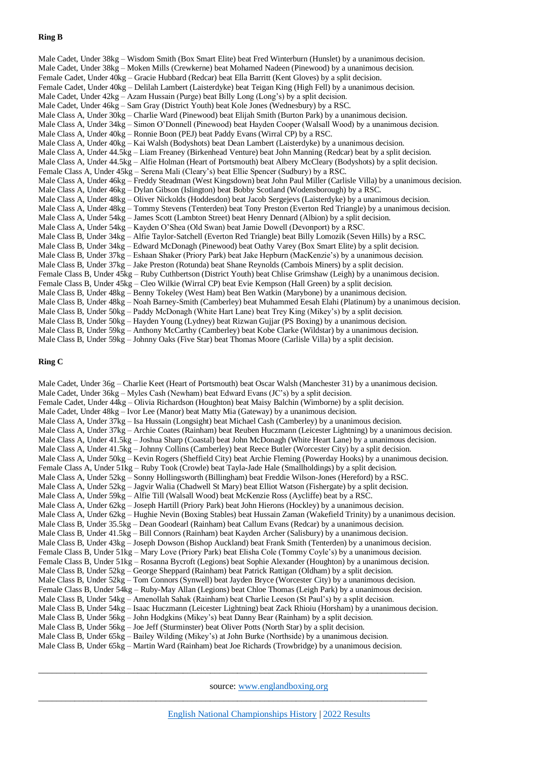## **Ring B**

Male Cadet, Under 38kg – Wisdom Smith (Box Smart Elite) beat Fred Winterburn (Hunslet) by a unanimous decision. Male Cadet, Under 38kg – Moken Mills (Crewkerne) beat Mohamed Nadeen (Pinewood) by a unanimous decision. Female Cadet, Under 40kg – Gracie Hubbard (Redcar) beat Ella Barritt (Kent Gloves) by a split decision. Female Cadet, Under 40kg – Delilah Lambert (Laisterdyke) beat Teigan King (High Fell) by a unanimous decision. Male Cadet, Under 42kg – Azam Hussain (Purge) beat Billy Long (Long's) by a split decision. Male Cadet, Under 46kg – Sam Gray (District Youth) beat Kole Jones (Wednesbury) by a RSC. Male Class A, Under 30kg – Charlie Ward (Pinewood) beat Elijah Smith (Burton Park) by a unanimous decision. Male Class A, Under 34kg – Simon O'Donnell (Pinewood) beat Hayden Cooper (Walsall Wood) by a unanimous decision. Male Class A, Under 40kg – Ronnie Boon (PEJ) beat Paddy Evans (Wirral CP) by a RSC. Male Class A, Under 40kg – Kai Walsh (Bodyshots) beat Dean Lambert (Laisterdyke) by a unanimous decision. Male Class A, Under 44.5kg – Liam Freaney (Birkenhead Venture) beat John Manning (Redcar) beat by a split decision. Male Class A, Under 44.5kg – Alfie Holman (Heart of Portsmouth) beat Albery McCleary (Bodyshots) by a split decision. Female Class A, Under 45kg – Serena Mali (Cleary's) beat Ellie Spencer (Sudbury) by a RSC. Male Class A, Under 46kg – Freddy Steadman (West Kingsdown) beat John Paul Miller (Carlisle Villa) by a unanimous decision. Male Class A, Under 46kg – Dylan Gibson (Islington) beat Bobby Scotland (Wodensborough) by a RSC. Male Class A, Under 48kg – Oliver Nickolds (Hoddesdon) beat Jacob Sergejevs (Laisterdyke) by a unanimous decision. Male Class A, Under 48kg – Tommy Stevens (Tenterden) beat Tony Preston (Everton Red Triangle) by a unanimous decision. Male Class A, Under 54kg – James Scott (Lambton Street) beat Henry Dennard (Albion) by a split decision. Male Class A, Under 54kg – Kayden O'Shea (Old Swan) beat Jamie Dowell (Devonport) by a RSC. Male Class B, Under 34kg – Alfie Taylor-Satchell (Everton Red Triangle) beat Billy Lomozik (Seven Hills) by a RSC. Male Class B, Under 34kg – Edward McDonagh (Pinewood) beat Oathy Varey (Box Smart Elite) by a split decision. Male Class B, Under 37kg – Eshaan Shaker (Priory Park) beat Jake Hepburn (MacKenzie's) by a unanimous decision. Male Class B, Under 37kg – Jake Preston (Rotunda) beat Shane Reynolds (Cambois Miners) by a split decision. Female Class B, Under 45kg – Ruby Cuthbertson (District Youth) beat Chlise Grimshaw (Leigh) by a unanimous decision. Female Class B, Under 45kg – Cleo Wilkie (Wirral CP) beat Evie Kempson (Hall Green) by a split decision. Male Class B, Under 48kg – Benny Tokeley (West Ham) beat Ben Watkin (Marybone) by a unanimous decision. Male Class B, Under 48kg – Noah Barney-Smith (Camberley) beat Muhammed Eesah Elahi (Platinum) by a unanimous decision. Male Class B, Under 50kg – Paddy McDonagh (White Hart Lane) beat Trey King (Mikey's) by a split decision. Male Class B, Under 50kg – Hayden Young (Lydney) beat Rizwan Gujjar (PS Boxing) by a unanimous decision. Male Class B, Under 59kg – Anthony McCarthy (Camberley) beat Kobe Clarke (Wildstar) by a unanimous decision. Male Class B, Under 59kg – Johnny Oaks (Five Star) beat Thomas Moore (Carlisle Villa) by a split decision.

### **Ring C**

Male Cadet, Under 36g – Charlie Keet (Heart of Portsmouth) beat Oscar Walsh (Manchester 31) by a unanimous decision. Male Cadet, Under  $36kg - Myles Cash$  (Newham) beat Edward Evans (JC's) by a split decision. Female Cadet, Under 44kg – Olivia Richardson (Houghton) beat Maisy Balchin (Wimborne) by a split decision. Male Cadet, Under 48kg – Ivor Lee (Manor) beat Matty Mia (Gateway) by a unanimous decision. Male Class A, Under 37kg – Isa Hussain (Longsight) beat Michael Cash (Camberley) by a unanimous decision. Male Class A, Under 37kg – Archie Coates (Rainham) beat Reuben Huczmann (Leicester Lightning) by a unanimous decision. Male Class A, Under 41.5kg – Joshua Sharp (Coastal) beat John McDonagh (White Heart Lane) by a unanimous decision. Male Class A, Under 41.5kg – Johnny Collins (Camberley) beat Reece Butler (Worcester City) by a split decision. Male Class A, Under 50kg – Kevin Rogers (Sheffield City) beat Archie Fleming (Powerday Hooks) by a unanimous decision. Female Class A, Under 51kg – Ruby Took (Crowle) beat Tayla-Jade Hale (Smallholdings) by a split decision. Male Class A, Under 52kg – Sonny Hollingsworth (Billingham) beat Freddie Wilson-Jones (Hereford) by a RSC. Male Class A, Under 52kg – Jagvir Walia (Chadwell St Mary) beat Elliot Watson (Fishergate) by a split decision. Male Class A, Under 59kg – Alfie Till (Walsall Wood) beat McKenzie Ross (Aycliffe) beat by a RSC. Male Class A, Under 62kg – Joseph Hartill (Priory Park) beat John Hierons (Hockley) by a unanimous decision. Male Class A, Under 62kg – Hughie Nevin (Boxing Stables) beat Hussain Zaman (Wakefield Trinity) by a unanimous decision. Male Class B, Under 35.5kg – Dean Goodearl (Rainham) beat Callum Evans (Redcar) by a unanimous decision. Male Class B, Under 41.5kg – Bill Connors (Rainham) beat Kayden Archer (Salisbury) by a unanimous decision. Male Class B, Under 43kg – Joseph Dowson (Bishop Auckland) beat Frank Smith (Tenterden) by a unanimous decision. Female Class B, Under 51kg – Mary Love (Priory Park) beat Elisha Cole (Tommy Coyle's) by a unanimous decision. Female Class B, Under 51kg – Rosanna Bycroft (Legions) beat Sophie Alexander (Houghton) by a unanimous decision. Male Class B, Under 52kg – George Sheppard (Rainham) beat Patrick Rattigan (Oldham) by a split decision. Male Class B, Under 52kg – Tom Connors (Synwell) beat Jayden Bryce (Worcester City) by a unanimous decision. Female Class B, Under 54kg – Ruby-May Allan (Legions) beat Chloe Thomas (Leigh Park) by a unanimous decision. Male Class B, Under 54kg – Amenollah Sahak (Rainham) beat Charlie Leeson (St Paul's) by a split decision. Male Class B, Under 54kg – Isaac Huczmann (Leicester Lightning) beat Zack Rhioiu (Horsham) by a unanimous decision. Male Class B, Under 56kg – John Hodgkins (Mikey's) beat Danny Bear (Rainham) by a split decision. Male Class B, Under 56kg – Joe Jeff (Sturminster) beat Oliver Potts (North Star) by a split decision. Male Class B, Under 65kg – Bailey Wilding (Mikey's) at John Burke (Northside) by a unanimous decision. Male Class B, Under 65kg – Martin Ward (Rainham) beat Joe Richards (Trowbridge) by a unanimous decision.

source[: www.englandboxing.org](http://www.englandboxing.org/)

\_\_\_\_\_\_\_\_\_\_\_\_\_\_\_\_\_\_\_\_\_\_\_\_\_\_\_\_\_\_\_\_\_\_\_\_\_\_\_\_\_\_\_\_\_\_\_\_\_\_\_\_\_\_\_\_\_\_\_\_\_\_\_\_\_\_\_\_\_\_\_\_\_\_\_\_\_\_\_\_\_\_\_\_\_\_

 $\_$  , and the set of the set of the set of the set of the set of the set of the set of the set of the set of the set of the set of the set of the set of the set of the set of the set of the set of the set of the set of th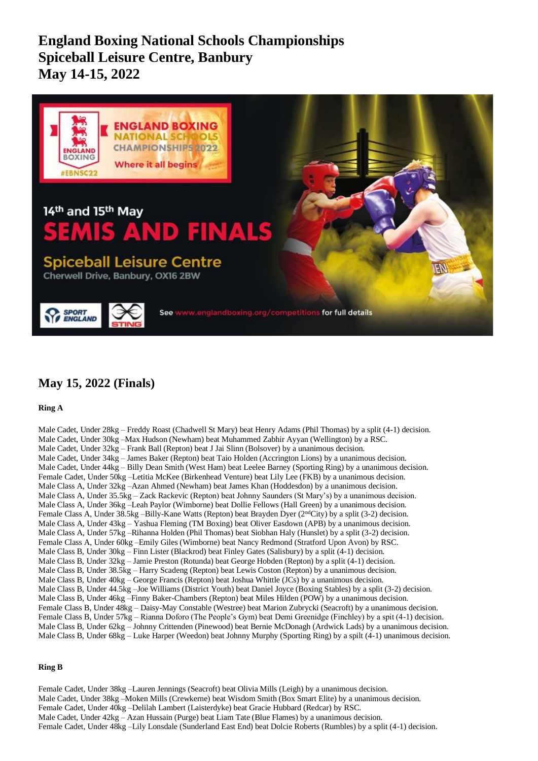**England Boxing National Schools Championships Spiceball Leisure Centre, Banbury May 14-15, 2022**



# **May 15, 2022 (Finals)**

**Ring A**

Male Cadet, Under 28kg – Freddy Roast (Chadwell St Mary) beat Henry Adams (Phil Thomas) by a split (4-1) decision. Male Cadet, Under 30kg –Max Hudson (Newham) beat Muhammed Zabhir Ayyan (Wellington) by a RSC. Male Cadet, Under 32kg – Frank Ball (Repton) beat J Jai Slinn (Bolsover) by a unanimous decision. Male Cadet, Under 34kg – James Baker (Repton) beat Taio Holden (Accrington Lions) by a unanimous decision. Male Cadet, Under 44kg – Billy Dean Smith (West Ham) beat Leelee Barney (Sporting Ring) by a unanimous decision. Female Cadet, Under 50kg –Letitia McKee (Birkenhead Venture) beat Lily Lee (FKB) by a unanimous decision. Male Class A, Under 32kg –Azan Ahmed (Newham) beat James Khan (Hoddesdon) by a unanimous decision. Male Class A, Under 35.5kg – Zack Rackevic (Repton) beat Johnny Saunders (St Mary's) by a unanimous decision. Male Class A, Under 36kg –Leah Paylor (Wimborne) beat Dollie Fellows (Hall Green) by a unanimous decision. Female Class A, Under 38.5kg –Billy-Kane Watts (Repton) beat Brayden Dyer (2<sup>nd</sup>City) by a split (3-2) decision. Male Class A, Under 43kg – Yashua Fleming (TM Boxing) beat Oliver Easdown (APB) by a unanimous decision. Male Class A, Under 57kg –Rihanna Holden (Phil Thomas) beat Siobhan Haly (Hunslet) by a split (3-2) decision. Female Class A, Under 60kg –Emily Giles (Wimborne) beat Nancy Redmond (Stratford Upon Avon) by RSC. Male Class B, Under 30kg – Finn Lister (Blackrod) beat Finley Gates (Salisbury) by a split (4-1) decision. Male Class B, Under 32kg – Jamie Preston (Rotunda) beat George Hobden (Repton) by a split (4-1) decision. Male Class B, Under 38.5kg – Harry Scadeng (Repton) beat Lewis Coston (Repton) by a unanimous decision. Male Class B, Under  $40kg - George Francis$  (Repton) beat Joshua Whittle (JCs) by a unanimous decision. Male Class B, Under 44.5kg –Joe Williams (District Youth) beat Daniel Joyce (Boxing Stables) by a split (3-2) decision. Male Class B, Under 46kg –Finny Baker-Chambers (Repton) beat Miles Hilden (POW) by a unanimous decision. Female Class B, Under 48kg – Daisy-May Constable (Westree) beat Marion Zubrycki (Seacroft) by a unanimous decision. Female Class B, Under 57kg – Rianna Doforo (The People's Gym) beat Demi Greenidge (Finchley) by a spit (4-1) decision. Male Class B, Under 62kg – Johnny Crittenden (Pinewood) beat Bernie McDonagh (Ardwick Lads) by a unanimous decision. Male Class B, Under 68kg – Luke Harper (Weedon) beat Johnny Murphy (Sporting Ring) by a spilt (4-1) unanimous decision.

## **Ring B**

Female Cadet, Under 38kg –Lauren Jennings (Seacroft) beat Olivia Mills (Leigh) by a unanimous decision. Male Cadet, Under 38kg –Moken Mills (Crewkerne) beat Wisdom Smith (Box Smart Elite) by a unanimous decision. Female Cadet, Under 40kg –Delilah Lambert (Laisterdyke) beat Gracie Hubbard (Redcar) by RSC. Male Cadet, Under 42kg – Azan Hussain (Purge) beat Liam Tate (Blue Flames) by a unanimous decision. Female Cadet, Under 48kg –Lily Lonsdale (Sunderland East End) beat Dolcie Roberts (Rumbles) by a split (4-1) decision.